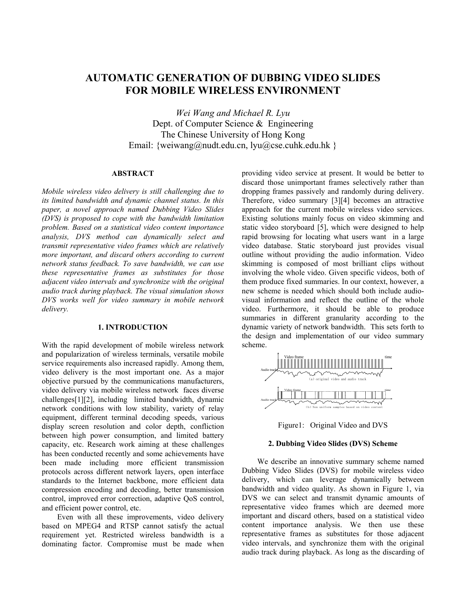# **AUTOMATIC GENERATION OF DUBBING VIDEO SLIDES FOR MOBILE WIRELESS ENVIRONMENT**

*Wei Wang and Michael R. Lyu*  Dept. of Computer Science & Engineering The Chinese University of Hong Kong Email: {weiwang@nudt.edu.cn, lyu@cse.cuhk.edu.hk }

# **ABSTRACT**

*Mobile wireless video delivery is still challenging due to its limited bandwidth and dynamic channel status. In this paper, a novel approach named Dubbing Video Slides (DVS) is proposed to cope with the bandwidth limitation problem. Based on a statistical video content importance analysis, DVS method can dynamically select and transmit representative video frames which are relatively more important, and discard others according to current network status feedback. To save bandwidth, we can use these representative frames as substitutes for those adjacent video intervals and synchronize with the original audio track during playback. The visual simulation shows DVS works well for video summary in mobile network delivery.* 

# **1. INTRODUCTION**

With the rapid development of mobile wireless network and popularization of wireless terminals, versatile mobile service requirements also increased rapidly. Among them, video delivery is the most important one. As a major objective pursued by the communications manufacturers, video delivery via mobile wireless network faces diverse challenges[1][2], including limited bandwidth, dynamic network conditions with low stability, variety of relay equipment, different terminal decoding speeds, various display screen resolution and color depth, confliction between high power consumption, and limited battery capacity, etc. Research work aiming at these challenges has been conducted recently and some achievements have been made including more efficient transmission protocols across different network layers, open interface standards to the Internet backbone, more efficient data compression encoding and decoding, better transmission control, improved error correction, adaptive QoS control, and efficient power control, etc.

Even with all these improvements, video delivery based on MPEG4 and RTSP cannot satisfy the actual requirement yet. Restricted wireless bandwidth is a dominating factor. Compromise must be made when

providing video service at present. It would be better to discard those unimportant frames selectively rather than dropping frames passively and randomly during delivery. Therefore, video summary [3][4] becomes an attractive approach for the current mobile wireless video services. Existing solutions mainly focus on video skimming and static video storyboard [5], which were designed to help rapid browsing for locating what users want in a large video database. Static storyboard just provides visual outline without providing the audio information. Video skimming is composed of most brilliant clips without involving the whole video. Given specific videos, both of them produce fixed summaries. In our context, however, a new scheme is needed which should both include audiovisual information and reflect the outline of the whole video. Furthermore, it should be able to produce summaries in different granularity according to the dynamic variety of network bandwidth. This sets forth to the design and implementation of our video summary scheme.



Figure1: Original Video and DVS

# **2. Dubbing Video Slides (DVS) Scheme**

We describe an innovative summary scheme named Dubbing Video Slides (DVS) for mobile wireless video delivery, which can leverage dynamically between bandwidth and video quality. As shown in Figure 1, via DVS we can select and transmit dynamic amounts of representative video frames which are deemed more important and discard others, based on a statistical video content importance analysis. We then use these representative frames as substitutes for those adjacent video intervals, and synchronize them with the original audio track during playback. As long as the discarding of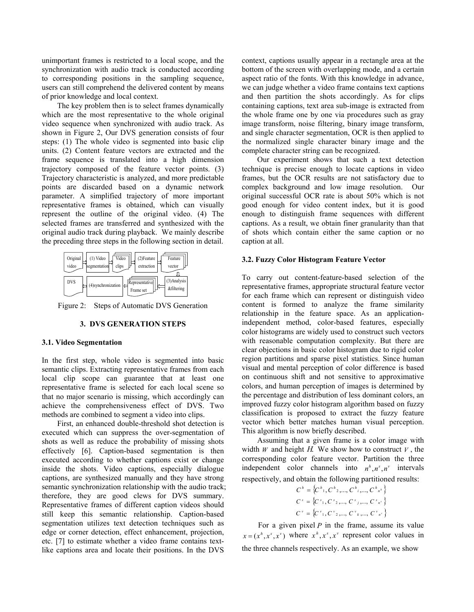unimportant frames is restricted to a local scope, and the synchronization with audio track is conducted according to corresponding positions in the sampling sequence, users can still comprehend the delivered content by means of prior knowledge and local context.

The key problem then is to select frames dynamically which are the most representative to the whole original video sequence when synchronized with audio track. As shown in Figure 2, Our DVS generation consists of four steps: (1) The whole video is segmented into basic clip units. (2) Content feature vectors are extracted and the frame sequence is translated into a high dimension trajectory composed of the feature vector points. (3) Trajectory characteristic is analyzed, and more predictable points are discarded based on a dynamic network parameter. A simplified trajectory of more important representative frames is obtained, which can visually represent the outline of the original video. (4) The selected frames are transferred and synthesized with the original audio track during playback. We mainly describe the preceding three steps in the following section in detail.



Figure 2: Steps of Automatic DVS Generation

# **3. DVS GENERATION STEPS**

#### **3.1. Video Segmentation**

In the first step, whole video is segmented into basic semantic clips. Extracting representative frames from each local clip scope can guarantee that at least one representative frame is selected for each local scene so that no major scenario is missing, which accordingly can achieve the comprehensiveness effect of DVS. Two methods are combined to segment a video into clips.

First, an enhanced double-threshold shot detection is executed which can suppress the over-segmentation of shots as well as reduce the probability of missing shots effectively [6]. Caption-based segmentation is then executed according to whether captions exist or change inside the shots. Video captions, especially dialogue captions, are synthesized manually and they have strong semantic synchronization relationship with the audio track; therefore, they are good clews for DVS summary. Representative frames of different caption videos should still keep this semantic relationship. Caption-based segmentation utilizes text detection techniques such as edge or corner detection, effect enhancement, projection, etc. [7] to estimate whether a video frame contains textlike captions area and locate their positions. In the DVS

context, captions usually appear in a rectangle area at the bottom of the screen with overlapping mode, and a certain aspect ratio of the fonts. With this knowledge in advance, we can judge whether a video frame contains text captions and then partition the shots accordingly. As for clips containing captions, text area sub-image is extracted from the whole frame one by one via procedures such as gray image transform, noise filtering, binary image transform, and single character segmentation, OCR is then applied to the normalized single character binary image and the complete character string can be recognized.

Our experiment shows that such a text detection technique is precise enough to locate captions in video frames, but the OCR results are not satisfactory due to complex background and low image resolution. Our original successful OCR rate is about 50% which is not good enough for video content index, but it is good enough to distinguish frame sequences with different captions. As a result, we obtain finer granularity than that of shots which contain either the same caption or no caption at all.

# **3.2. Fuzzy Color Histogram Feature Vector**

To carry out content-feature-based selection of the representative frames, appropriate structural feature vector for each frame which can represent or distinguish video content is formed to analyze the frame similarity relationship in the feature space. As an applicationindependent method, color-based features, especially color histograms are widely used to construct such vectors with reasonable computation complexity. But there are clear objections in basic color histogram due to rigid color region partitions and sparse pixel statistics. Since human visual and mental perception of color difference is based on continuous shift and not sensitive to approximative colors, and human perception of images is determined by the percentage and distribution of less dominant colors, an improved fuzzy color histogram algorithm based on fuzzy classification is proposed to extract the fuzzy feature vector which better matches human visual perception. This algorithm is now briefly described.

Assuming that a given frame is a color image with width *W* and height *H*. We show how to construct  $V$ , the corresponding color feature vector. Partition the three independent color channels into  $n^h, n^s, n^v$  intervals respectively, and obtain the following partitioned results:

$$
C^{h} = \{C^{h}_{1}, C^{h}_{2}, ..., C^{h}_{i}, ..., C^{h}_{n^{k}}\}
$$

$$
C^{s} = \{C^{s}_{1}, C^{s}_{2}, ..., C^{s}_{j}, ..., C^{s}_{n^{s}}\}
$$

$$
C^{v} = \{C^{v}_{1}, C^{v}_{2}, ..., C^{v}_{k}, ..., C^{v}_{n^{v}}\}
$$

For a given pixel  $P$  in the frame, assume its value  $x = (x^h, x^s, x^v)$  where  $x^h, x^s, x^v$  represent color values in the three channels respectively. As an example, we show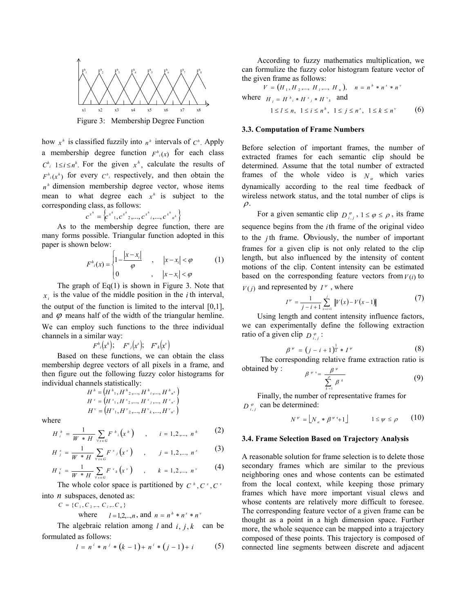

how  $x^h$  is classified fuzzily into  $n^h$  intervals of  $C^h$ . Apply a membership degree function  $F^h(x)$  for each class  $C^h$   $1 \le i \le n^h$ . For the given  $x^h$ , calculate the results of  $F^h_i(x^h)$  for every  $C^h_i$  respectively, and then obtain the dimension membership degree vector, whose items *h n* mean to what degree each  $x^h$  is subject to the

$$
c^{x^h} = \{c^{x^h}, c^{x^h}, c^{x^h}, \ldots, c^{x^h}, c^{x^h} \}
$$

corresponding class, as follows:

As to the membership degree function, there are many forms possible. Triangular function adopted in this paper is shown below:

$$
F^h_i(x) = \begin{cases} 1 - \frac{|x - x_i|}{\varphi} & , & |x - x_i| < \varphi \\ 0 & , & |x - x_i| < \varphi \end{cases}
$$
 (1)

The graph of  $Eq(1)$  is shown in Figure 3. Note that  $x_i$  is the value of the middle position in the *i* th interval, the output of the function is limited to the interval [0,1], and  $\varphi$  means half of the width of the triangular hemline. We can employ such functions to the three individual channels in a similar way:

$$
F^h_i(x^h); \quad F^s_j(x^s); \quad F^v_k(x^v)
$$

Based on these functions, we can obtain the class membership degree vectors of all pixels in a frame, and then figure out the following fuzzy color histograms for individual channels statistically:

$$
H^{h} = (H^{h_1}, H^{h_2}, ..., H^{h_i}, ..., H^{h_{nk}})
$$
  

$$
H^{s} = (H^{s_1}, H^{s_2}, ..., H^{s_j}, ..., H^{s_{nk}})
$$
  

$$
H^{v} = (H^{v_1}, H^{v_2}, ..., H^{v_k}, ..., H^{v_{nk}})
$$

$$
H_{i}^{h} = \frac{1}{W * H} \sum_{\forall x \in G} F^{h_{i}}(x^{h}) \qquad , \qquad i = 1, 2, ..., n^{h} \qquad (2)
$$

$$
H_{j}^{s} = \frac{1}{W * H} \sum_{\forall x \in G} F^{s}{}_{j}(x^{s}) \qquad , \qquad j = 1, 2, ..., n^{s}
$$
 (3)

$$
H_{k}^{\nu} = \frac{1}{W * H} \sum_{\forall x \in G} F^{\nu}{}_{k}(x^{\nu}) \qquad , \qquad k = 1, 2, ..., n^{\nu} \tag{4}
$$

The whole color space is partitioned by  $C^h$ ,  $C^s$ ,  $C^v$ into *n* subspaces, denoted as:

 $C = \{C_1, C_2, ..., C_i, ... C_n\}$ 

where 
$$
l = 1, 2, ..., n
$$
, and  $n = n^h * n^s * n^v$ 

The algebraic relation among *l* and  $i, j, k$  can be formulated as follows:

$$
l = n^{i} * n^{j} * (k - 1) + n^{i} * (j - 1) + i
$$
 (5)

According to fuzzy mathematics multiplication, we can formulize the fuzzy color histogram feature vector of the given frame as follows:

$$
V = (H_1, H_2, ..., H_i, ..., H_n), \quad n = n^h * n^s * n^v
$$
  
where  $H_i = H^h_i * H^s_j * H^v_k$  and  
 $1 \le i \le n, \quad 1 \le i \le n^h, \quad 1 \le j \le n^s, \quad 1 \le k \le n^v$  (6)

#### **3.3. Computation of Frame Numbers**

Before selection of important frames, the number of extracted frames for each semantic clip should be determined. Assume that the total number of extracted frames of the whole video is  $N_a$  which varies dynamically according to the real time feedback of wireless network status, and the total number of clips is  $\rho$ .

 $c^{x^h} = \left\{ c^{x^h}, c^{x^h}, c^{x^h}, \ldots, c^{x^h}, \ldots, c^{x^h}\right\}$  For a given semantic clip  $D_{i,j}^{\varphi}, 1 \leq \varphi \leq \rho$ , its frame sequence begins from the *i*th frame of the original video to the *j* th frame. Obviously, the number of important frames for a given clip is not only related to the clip length, but also influenced by the intensity of content motions of the clip. Content intensity can be estimated based on the corresponding feature vectors from  $V(i)$  to

 $V(j)$  and represented by  $I^{\psi}$ , where

$$
I^{\nu} = \frac{1}{j - i + 1} \sum_{x = i + 1}^{j} \| V(x) - V(x - 1) \| \tag{7}
$$

Using length and content intensity influence factors, we can experimentally define the following extraction ratio of a given clip  $D_{i,j}^{\phi}$ :

$$
F^{\nu}_{k}(x^{\nu})
$$
\n
$$
\beta^{\nu} = (j - i + 1)^{\frac{1}{2}} * I^{\nu}
$$
\n(8)

The corresponding relative frame extraction ratio is obtained by :  $B^{\nu}$ 

$$
\beta^{\nu} = \frac{\beta^{\nu}}{\sum_{k=1}^{\rho} \beta^k} \tag{9}
$$

Finally, the number of representative frames for  $D_{i,j}^{\phi}$  can be determined:

where 
$$
N^{\nu} = \lfloor N_a * \beta^{\nu} + 1 \rfloor \qquad 1 \leq \nu \leq \rho \qquad (10)
$$

#### **3.4. Frame Selection Based on Trajectory Analysis**

A reasonable solution for frame selection is to delete those secondary frames which are similar to the previous neighboring ones and whose contents can be estimated from the local context, while keeping those primary frames which have more important visual clews and whose contents are relatively more difficult to foresee. The corresponding feature vector of a given frame can be thought as a point in a high dimension space. Further more, the whole sequence can be mapped into a trajectory composed of these points. This trajectory is composed of connected line segments between discrete and adjacent